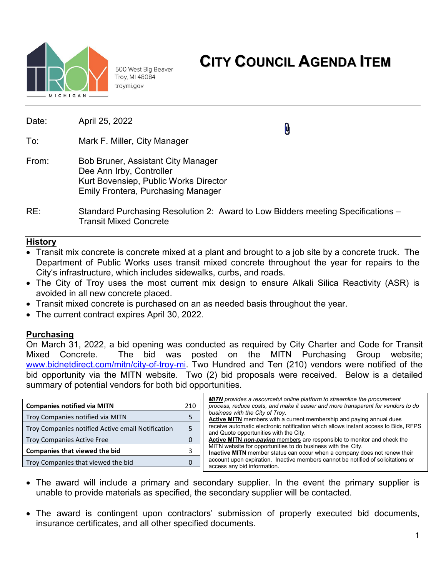

500 West Big Beaver Troy, MI 48084 troymi.gov

| Date: | April 25, 2022                                                                                                                                              | $\boldsymbol{\theta}$ |  |  |  |
|-------|-------------------------------------------------------------------------------------------------------------------------------------------------------------|-----------------------|--|--|--|
| To:   | Mark F. Miller, City Manager                                                                                                                                |                       |  |  |  |
| From: | <b>Bob Bruner, Assistant City Manager</b><br>Dee Ann Irby, Controller<br>Kurt Bovensiep, Public Works Director<br><b>Emily Frontera, Purchasing Manager</b> |                       |  |  |  |
| RE:   | Standard Purchasing Resolution 2: Award to Low Bidders meeting Specifications –<br><b>Transit Mixed Concrete</b>                                            |                       |  |  |  |

# **History**

- Transit mix concrete is concrete mixed at a plant and brought to a job site by a concrete truck. The Department of Public Works uses transit mixed concrete throughout the year for repairs to the City's infrastructure, which includes sidewalks, curbs, and roads.
- The City of Troy uses the most current mix design to ensure Alkali Silica Reactivity (ASR) is avoided in all new concrete placed.
- Transit mixed concrete is purchased on an as needed basis throughout the year.
- The current contract expires April 30, 2022.

## **Purchasing**

On March 31, 2022, a bid opening was conducted as required by City Charter and Code for Transit Mixed Concrete. The bid was posted on the MITN Purchasing Group website; [www.bidnetdirect.com/mitn/city-of-troy-mi.](http://www.bidnetdirect.com/mitn/city-of-troy-mi) Two Hundred and Ten (210) vendors were notified of the bid opportunity via the MITN website. Two (2) bid proposals were received. Below is a detailed summary of potential vendors for both bid opportunities.

|                                                                                                                                                             |  | <b>MITN</b> provides a resourceful online platform to streamline the procurement                                                          |  |  |  |  |
|-------------------------------------------------------------------------------------------------------------------------------------------------------------|--|-------------------------------------------------------------------------------------------------------------------------------------------|--|--|--|--|
| <b>Companies notified via MITN</b><br>210                                                                                                                   |  | process, reduce costs, and make it easier and more transparent for vendors to do                                                          |  |  |  |  |
| Troy Companies notified via MITN<br>Troy Companies notified Active email Notification<br>Troy Companies Active Free<br><b>Companies that viewed the bid</b> |  | business with the City of Troy.<br>Active MITN members with a current membership and paying annual dues                                   |  |  |  |  |
|                                                                                                                                                             |  | receive automatic electronic notification which allows instant access to Bids. RFPS<br>and Quote opportunities with the City.             |  |  |  |  |
|                                                                                                                                                             |  | Active MITN non-paying members are responsible to monitor and check the                                                                   |  |  |  |  |
|                                                                                                                                                             |  | MITN website for opportunities to do business with the City.<br>Inactive MITN member status can occur when a company does not renew their |  |  |  |  |
| Troy Companies that viewed the bid                                                                                                                          |  | account upon expiration. Inactive members cannot be notified of solicitations or<br>access any bid information.                           |  |  |  |  |
|                                                                                                                                                             |  |                                                                                                                                           |  |  |  |  |

- The award will include a primary and secondary supplier. In the event the primary supplier is unable to provide materials as specified, the secondary supplier will be contacted.
- The award is contingent upon contractors' submission of properly executed bid documents, insurance certificates, and all other specified documents.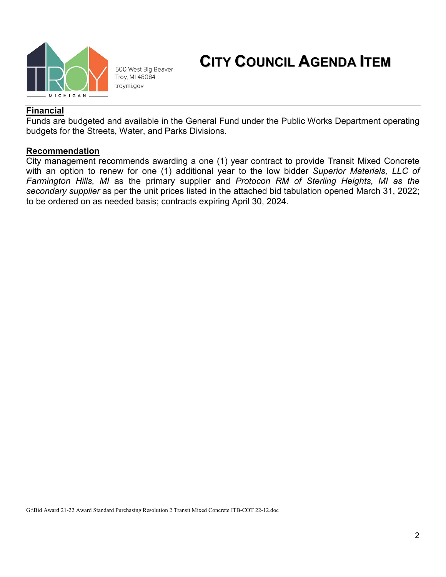

500 West Big Beaver Troy, MI 48084 troymi.gov

# **CITY COUNCIL AGENDA ITEM**

### **Financial**

Funds are budgeted and available in the General Fund under the Public Works Department operating budgets for the Streets, Water, and Parks Divisions.

#### **Recommendation**

City management recommends awarding a one (1) year contract to provide Transit Mixed Concrete with an option to renew for one (1) additional year to the low bidder *Superior Materials, LLC of Farmington Hills, MI* as the primary supplier and *Protocon RM of Sterling Heights, MI as the secondary supplier* as per the unit prices listed in the attached bid tabulation opened March 31, 2022; to be ordered on as needed basis; contracts expiring April 30, 2024.